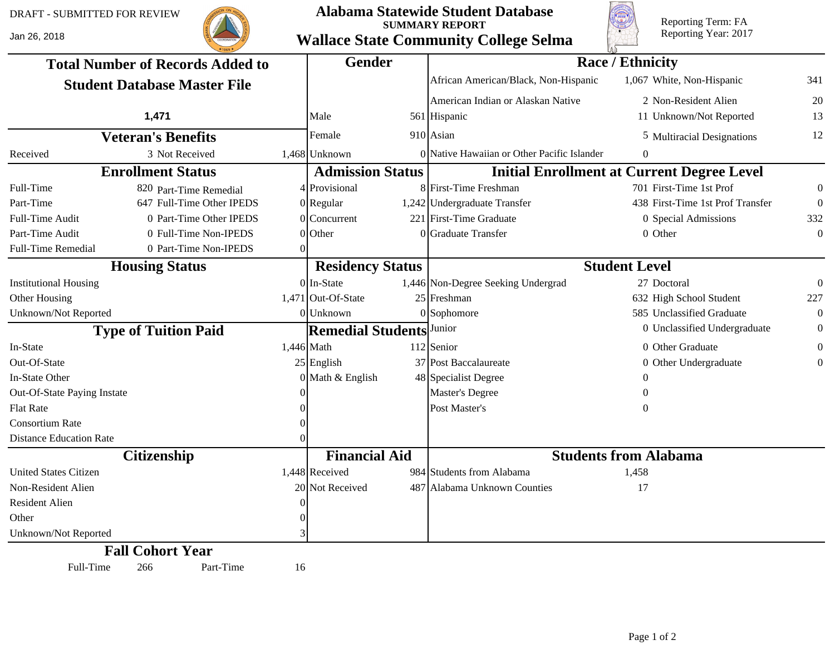Jan 26, 2018



## **Alabama Statewide Student Database SUMMARY REPORT Wallace State Community College Selma**



Reporting Term: FA Reporting Year: 2017

| <b>Total Number of Records Added to</b><br><b>Student Database Master File</b> |                           |    | <b>Gender</b>            |  | <b>Race / Ethnicity</b>                     |                                                   |                  |  |  |
|--------------------------------------------------------------------------------|---------------------------|----|--------------------------|--|---------------------------------------------|---------------------------------------------------|------------------|--|--|
|                                                                                |                           |    |                          |  | African American/Black, Non-Hispanic        | 1,067 White, Non-Hispanic                         | 341              |  |  |
|                                                                                |                           |    |                          |  | American Indian or Alaskan Native           | 2 Non-Resident Alien                              | 20               |  |  |
|                                                                                | 1,471                     |    | Male                     |  | 561 Hispanic                                | 11 Unknown/Not Reported                           | 13               |  |  |
| <b>Veteran's Benefits</b>                                                      |                           |    | Female                   |  | $910$ Asian                                 | 5 Multiracial Designations                        | 12               |  |  |
| Received                                                                       | 3 Not Received            |    | $1,468$ Unknown          |  | 0 Native Hawaiian or Other Pacific Islander | 0                                                 |                  |  |  |
|                                                                                | <b>Enrollment Status</b>  |    | <b>Admission Status</b>  |  |                                             | <b>Initial Enrollment at Current Degree Level</b> |                  |  |  |
| Full-Time                                                                      | 820 Part-Time Remedial    |    | 4 Provisional            |  | 8 First-Time Freshman                       | 701 First-Time 1st Prof                           | $\boldsymbol{0}$ |  |  |
| Part-Time                                                                      | 647 Full-Time Other IPEDS |    | $0$  Regular             |  | 1,242 Undergraduate Transfer                | 438 First-Time 1st Prof Transfer                  | $\theta$         |  |  |
| Full-Time Audit                                                                | 0 Part-Time Other IPEDS   |    | $0$ Concurrent           |  | 221 First-Time Graduate                     | 0 Special Admissions                              | 332              |  |  |
| Part-Time Audit                                                                | 0 Full-Time Non-IPEDS     |    | $0$ Other                |  | 0 Graduate Transfer                         | 0 Other                                           | $\Omega$         |  |  |
| <b>Full-Time Remedial</b>                                                      | 0 Part-Time Non-IPEDS     | 0  |                          |  |                                             |                                                   |                  |  |  |
| <b>Housing Status</b>                                                          |                           |    | <b>Residency Status</b>  |  | <b>Student Level</b>                        |                                                   |                  |  |  |
| <b>Institutional Housing</b>                                                   |                           |    | $0$ In-State             |  | 1,446 Non-Degree Seeking Undergrad          | 27 Doctoral                                       | $\Omega$         |  |  |
| Other Housing                                                                  |                           |    | $1,471$ Out-Of-State     |  | $25$ Freshman                               | 632 High School Student                           | 227              |  |  |
| Unknown/Not Reported                                                           |                           |    | $0$ Unknown              |  | $0$ Sophomore                               | 585 Unclassified Graduate                         | $\theta$         |  |  |
| <b>Type of Tuition Paid</b>                                                    |                           |    | <b>Remedial Students</b> |  | Junior                                      | 0 Unclassified Undergraduate                      | $\Omega$         |  |  |
| In-State                                                                       |                           |    | $1,446$ Math             |  | $112$ Senior                                | 0 Other Graduate                                  | $\overline{0}$   |  |  |
| Out-Of-State                                                                   |                           |    | $25$ English             |  | 37 Post Baccalaureate                       | 0 Other Undergraduate                             | $\overline{0}$   |  |  |
| In-State Other                                                                 |                           |    | $0$ Math & English       |  | 48 Specialist Degree                        |                                                   |                  |  |  |
| Out-Of-State Paying Instate                                                    |                           |    |                          |  | Master's Degree                             | $\theta$                                          |                  |  |  |
| <b>Flat Rate</b>                                                               |                           |    |                          |  | Post Master's                               | $\Omega$                                          |                  |  |  |
| <b>Consortium Rate</b>                                                         |                           |    |                          |  |                                             |                                                   |                  |  |  |
| <b>Distance Education Rate</b>                                                 |                           |    |                          |  |                                             |                                                   |                  |  |  |
| <b>Citizenship</b>                                                             |                           |    | <b>Financial Aid</b>     |  | <b>Students from Alabama</b>                |                                                   |                  |  |  |
| <b>United States Citizen</b>                                                   |                           |    | $1,448$ Received         |  | 984 Students from Alabama                   | 1,458                                             |                  |  |  |
| Non-Resident Alien                                                             |                           |    | 20 Not Received          |  | 487 Alabama Unknown Counties                | 17                                                |                  |  |  |
| <b>Resident Alien</b>                                                          |                           |    |                          |  |                                             |                                                   |                  |  |  |
| Other                                                                          |                           |    |                          |  |                                             |                                                   |                  |  |  |
| Unknown/Not Reported                                                           |                           |    |                          |  |                                             |                                                   |                  |  |  |
|                                                                                | <b>Fall Cohort Year</b>   |    |                          |  |                                             |                                                   |                  |  |  |
| Full-Time                                                                      | Part-Time<br>266          | 16 |                          |  |                                             |                                                   |                  |  |  |